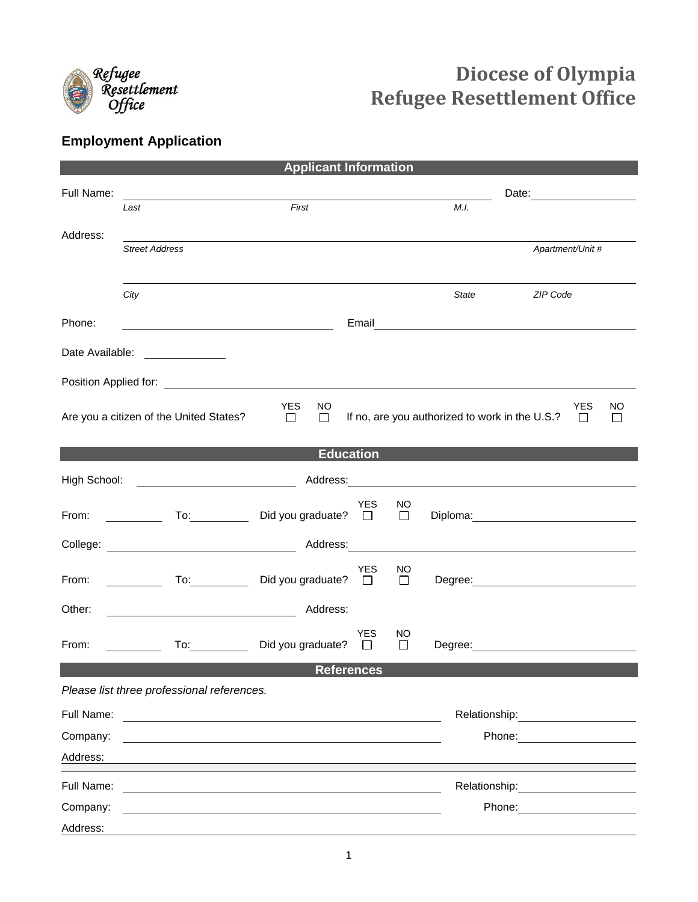

## **Diocese of Olympia Refugee Resettlement Office**

## **Employment Application**

| <b>Applicant Information</b>                                                                                                                                                                                                   |                                                                                                                                                                                                                                |                                                |                      |              |              |                                                                                                                                                                                                                                |              |  |  |  |  |
|--------------------------------------------------------------------------------------------------------------------------------------------------------------------------------------------------------------------------------|--------------------------------------------------------------------------------------------------------------------------------------------------------------------------------------------------------------------------------|------------------------------------------------|----------------------|--------------|--------------|--------------------------------------------------------------------------------------------------------------------------------------------------------------------------------------------------------------------------------|--------------|--|--|--|--|
| Full Name:                                                                                                                                                                                                                     |                                                                                                                                                                                                                                |                                                |                      |              |              |                                                                                                                                                                                                                                |              |  |  |  |  |
|                                                                                                                                                                                                                                | Last                                                                                                                                                                                                                           | First                                          |                      |              | M.I.         |                                                                                                                                                                                                                                |              |  |  |  |  |
| Address:                                                                                                                                                                                                                       |                                                                                                                                                                                                                                |                                                |                      |              |              |                                                                                                                                                                                                                                |              |  |  |  |  |
|                                                                                                                                                                                                                                | <b>Street Address</b>                                                                                                                                                                                                          |                                                |                      |              |              | Apartment/Unit #                                                                                                                                                                                                               |              |  |  |  |  |
|                                                                                                                                                                                                                                |                                                                                                                                                                                                                                |                                                |                      |              |              |                                                                                                                                                                                                                                |              |  |  |  |  |
|                                                                                                                                                                                                                                | City                                                                                                                                                                                                                           |                                                |                      |              | <b>State</b> | ZIP Code                                                                                                                                                                                                                       |              |  |  |  |  |
| Phone:                                                                                                                                                                                                                         |                                                                                                                                                                                                                                |                                                |                      |              |              | Email <u>_________________________________</u>                                                                                                                                                                                 |              |  |  |  |  |
| Date Available:                                                                                                                                                                                                                | <u> 1990 - Jan Jawa Barat, prima provincia prima prima prima prima prima prima prima prima prima prima prima pri</u>                                                                                                           |                                                |                      |              |              |                                                                                                                                                                                                                                |              |  |  |  |  |
| Position Applied for: The Contract of the Contract of the Contract of the Contract of the Contract of the Contract of the Contract of the Contract of the Contract of the Contract of the Contract of the Contract of the Cont |                                                                                                                                                                                                                                |                                                |                      |              |              |                                                                                                                                                                                                                                |              |  |  |  |  |
|                                                                                                                                                                                                                                | <b>YES</b><br>NO<br>$\Box$<br>$\Box$                                                                                                                                                                                           | If no, are you authorized to work in the U.S.? |                      |              |              |                                                                                                                                                                                                                                | NO<br>$\Box$ |  |  |  |  |
|                                                                                                                                                                                                                                | Are you a citizen of the United States?                                                                                                                                                                                        |                                                |                      |              |              |                                                                                                                                                                                                                                | $\Box$       |  |  |  |  |
| <b>Education</b>                                                                                                                                                                                                               |                                                                                                                                                                                                                                |                                                |                      |              |              |                                                                                                                                                                                                                                |              |  |  |  |  |
| High School:                                                                                                                                                                                                                   |                                                                                                                                                                                                                                |                                                |                      |              |              |                                                                                                                                                                                                                                |              |  |  |  |  |
| From:                                                                                                                                                                                                                          | $\mathsf{To:}\qquad\qquad\qquad\qquad\qquad$<br>$\mathcal{L} = \mathcal{L}$                                                                                                                                                    | Did you graduate? $\Box$                       | YES                  | NO<br>$\Box$ |              |                                                                                                                                                                                                                                |              |  |  |  |  |
|                                                                                                                                                                                                                                |                                                                                                                                                                                                                                |                                                |                      |              |              |                                                                                                                                                                                                                                |              |  |  |  |  |
| From:                                                                                                                                                                                                                          | <u> 1990 - Jan Barnett, p</u>                                                                                                                                                                                                  | Did you graduate? $\square$                    | <b>YES</b>           | NO<br>$\Box$ |              | Degree: <u>2000 - 2000 - 2000 - 2000 - 2000 - 2000 - 2000 - 2000 - 2000 - 2000 - 2000 - 2000 - 2000 - 2000 - 2000 - 20</u>                                                                                                     |              |  |  |  |  |
| Other:                                                                                                                                                                                                                         |                                                                                                                                                                                                                                | Address:                                       |                      |              |              |                                                                                                                                                                                                                                |              |  |  |  |  |
| From:                                                                                                                                                                                                                          | To: the contract of the contract of the contract of the contract of the contract of the contract of the contract of the contract of the contract of the contract of the contract of the contract of the contract of the contra | Did you graduate?                              | <b>YES</b><br>$\Box$ | NO<br>П      |              | Degree: <u>____________</u>                                                                                                                                                                                                    |              |  |  |  |  |
|                                                                                                                                                                                                                                |                                                                                                                                                                                                                                |                                                | <b>References</b>    |              |              |                                                                                                                                                                                                                                |              |  |  |  |  |
|                                                                                                                                                                                                                                | Please list three professional references.                                                                                                                                                                                     |                                                |                      |              |              |                                                                                                                                                                                                                                |              |  |  |  |  |
| Full Name:                                                                                                                                                                                                                     |                                                                                                                                                                                                                                |                                                |                      |              |              | Relationship: 2000                                                                                                                                                                                                             |              |  |  |  |  |
| Company:                                                                                                                                                                                                                       |                                                                                                                                                                                                                                |                                                |                      |              |              | Phone: The contract of the contract of the contract of the contract of the contract of the contract of the contract of the contract of the contract of the contract of the contract of the contract of the contract of the con |              |  |  |  |  |
| Address:                                                                                                                                                                                                                       |                                                                                                                                                                                                                                |                                                |                      |              |              |                                                                                                                                                                                                                                |              |  |  |  |  |
| Full Name:                                                                                                                                                                                                                     |                                                                                                                                                                                                                                |                                                |                      |              |              | Relationship:                                                                                                                                                                                                                  |              |  |  |  |  |
| Company:                                                                                                                                                                                                                       |                                                                                                                                                                                                                                |                                                |                      |              |              |                                                                                                                                                                                                                                |              |  |  |  |  |
| Address:                                                                                                                                                                                                                       |                                                                                                                                                                                                                                |                                                |                      |              |              |                                                                                                                                                                                                                                |              |  |  |  |  |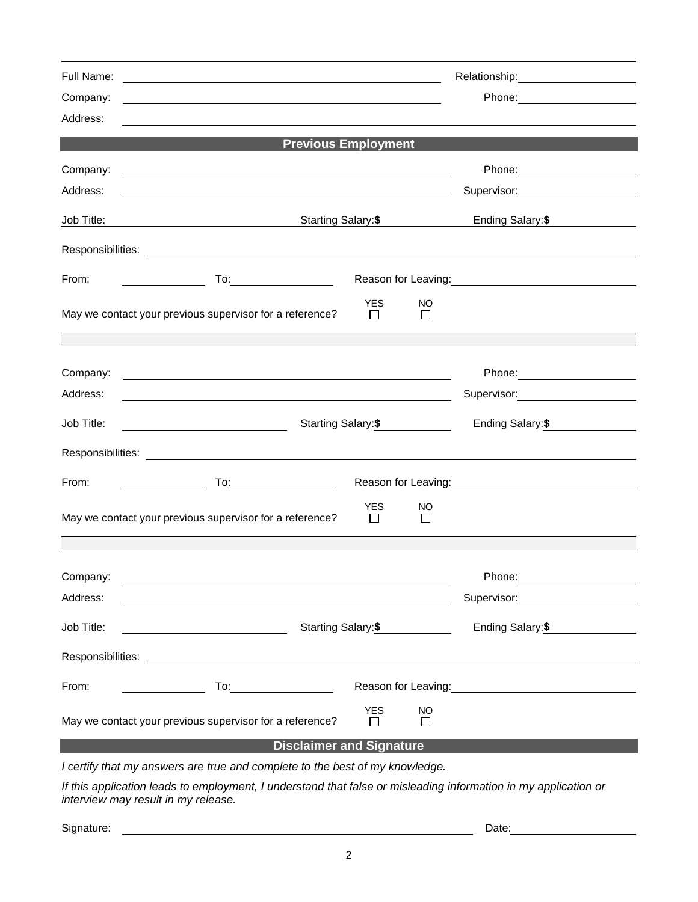| Full Name:        | Relationship: ______________________<br><u> 1990 - Johann Stoff, amerikansk politiker (d. 1980)</u>                                                                                                                                                                                                                                                                               |                                                                                                                                                                                                                                       |               |                                                |  |  |  |  |
|-------------------|-----------------------------------------------------------------------------------------------------------------------------------------------------------------------------------------------------------------------------------------------------------------------------------------------------------------------------------------------------------------------------------|---------------------------------------------------------------------------------------------------------------------------------------------------------------------------------------------------------------------------------------|---------------|------------------------------------------------|--|--|--|--|
| Company:          | <u> 1989 - Johann Stoff, deutscher Stoffen und der Stoffen und der Stoffen und der Stoffen und der Stoffen und der</u>                                                                                                                                                                                                                                                            | Phone: _______________________                                                                                                                                                                                                        |               |                                                |  |  |  |  |
| Address:          |                                                                                                                                                                                                                                                                                                                                                                                   |                                                                                                                                                                                                                                       |               |                                                |  |  |  |  |
|                   | <b>Previous Employment</b>                                                                                                                                                                                                                                                                                                                                                        |                                                                                                                                                                                                                                       |               |                                                |  |  |  |  |
| Company:          | <u> 2008 - An Dùbhlachd ann an Dùbhlachd ann an Dùbhlachd ann an Dùbhlachd ann an Dùbhlachd ann an Dùbhlachd ann a</u>                                                                                                                                                                                                                                                            |                                                                                                                                                                                                                                       |               |                                                |  |  |  |  |
| Address:          | <u> 1980 - Johann Barn, fransk politik (d. 1980)</u>                                                                                                                                                                                                                                                                                                                              |                                                                                                                                                                                                                                       |               | Supervisor: Victor Communication Communication |  |  |  |  |
| Job Title:        | <b>Starting Salary:\$</b> Starting Salary:\$                                                                                                                                                                                                                                                                                                                                      | Ending Salary:\$                                                                                                                                                                                                                      |               |                                                |  |  |  |  |
|                   |                                                                                                                                                                                                                                                                                                                                                                                   |                                                                                                                                                                                                                                       |               |                                                |  |  |  |  |
| From:             |                                                                                                                                                                                                                                                                                                                                                                                   | Reason for Leaving:<br><u>Next and the substitution of the substitution</u> of the substitution of the substitution of the substitution of the substitution of the substitution of the substitution of the substitution of the substi |               |                                                |  |  |  |  |
|                   | May we contact your previous supervisor for a reference?                                                                                                                                                                                                                                                                                                                          | <b>YES</b><br>$\perp$                                                                                                                                                                                                                 | NO<br>$\perp$ |                                                |  |  |  |  |
|                   |                                                                                                                                                                                                                                                                                                                                                                                   |                                                                                                                                                                                                                                       |               |                                                |  |  |  |  |
| Company:          | <u> 1999 - Johann Harry Harry Harry Harry Harry Harry Harry Harry Harry Harry Harry Harry Harry Harry Harry Harry Harry Harry Harry Harry Harry Harry Harry Harry Harry Harry Harry Harry Harry Harry Harry Harry Harry Harry Ha</u>                                                                                                                                              |                                                                                                                                                                                                                                       |               | Phone: _________________________               |  |  |  |  |
| Address:          | <u> 1989 - Johann Stoff, amerikansk politiker (* 1908)</u>                                                                                                                                                                                                                                                                                                                        |                                                                                                                                                                                                                                       |               | Supervisor: _______________________            |  |  |  |  |
| Job Title:        | Starting Salary:\$<br><u> 1990 - Johann Barbara, martin a</u>                                                                                                                                                                                                                                                                                                                     | Ending Salary:\$                                                                                                                                                                                                                      |               |                                                |  |  |  |  |
|                   |                                                                                                                                                                                                                                                                                                                                                                                   |                                                                                                                                                                                                                                       |               |                                                |  |  |  |  |
| From:             | $\overline{\phantom{a}}$                                                                                                                                                                                                                                                                                                                                                          |                                                                                                                                                                                                                                       |               |                                                |  |  |  |  |
|                   | May we contact your previous supervisor for a reference?                                                                                                                                                                                                                                                                                                                          | <b>YES</b><br>$\Box$                                                                                                                                                                                                                  | NO<br>$\Box$  |                                                |  |  |  |  |
|                   |                                                                                                                                                                                                                                                                                                                                                                                   |                                                                                                                                                                                                                                       |               |                                                |  |  |  |  |
| Company:          |                                                                                                                                                                                                                                                                                                                                                                                   |                                                                                                                                                                                                                                       |               | Phone:                                         |  |  |  |  |
| Address:          |                                                                                                                                                                                                                                                                                                                                                                                   |                                                                                                                                                                                                                                       |               | Supervisor:                                    |  |  |  |  |
| Job Title:        | Starting Salary: \$<br><u> 1989 - Johann Barn, mars eta bainar e</u>                                                                                                                                                                                                                                                                                                              | Ending Salary: \$                                                                                                                                                                                                                     |               |                                                |  |  |  |  |
| Responsibilities: | <u> 1980 - Johann John Stein, markin f</u>                                                                                                                                                                                                                                                                                                                                        |                                                                                                                                                                                                                                       |               |                                                |  |  |  |  |
| From:             | Reason for Leaving: The Season for Leaving:<br>$\overline{a}$ To: $\overline{a}$ To: $\overline{a}$ To: $\overline{a}$ To: $\overline{a}$ To: $\overline{a}$ To: $\overline{a}$ To: $\overline{a}$ To: $\overline{a}$ To: $\overline{a}$ To: $\overline{a}$ To: $\overline{a}$ To: $\overline{a}$ To: $\overline{a}$ To: $\overline{a}$ To: $\overline{a}$ To: $\overline{a}$ To: |                                                                                                                                                                                                                                       |               |                                                |  |  |  |  |
|                   | May we contact your previous supervisor for a reference?                                                                                                                                                                                                                                                                                                                          | <b>YES</b><br>$\perp$                                                                                                                                                                                                                 | NO<br>l 1     |                                                |  |  |  |  |
|                   | <b>Disclaimer and Signature</b>                                                                                                                                                                                                                                                                                                                                                   |                                                                                                                                                                                                                                       |               |                                                |  |  |  |  |
|                   | I certify that my answers are true and complete to the best of my knowledge.                                                                                                                                                                                                                                                                                                      |                                                                                                                                                                                                                                       |               |                                                |  |  |  |  |

*If this application leads to employment, I understand that false or misleading information in my application or interview may result in my release.*

Signature: Date: Date: Date: Date: Date: Date: Date: Date: Date: Date: Date: Date: Date: Date: Date: Date: Date: Date: Date: Date: Date: Date: Date: Date: Date: Date: Date: Date: Date: Date: Date: Date: Date: Date: Date: D